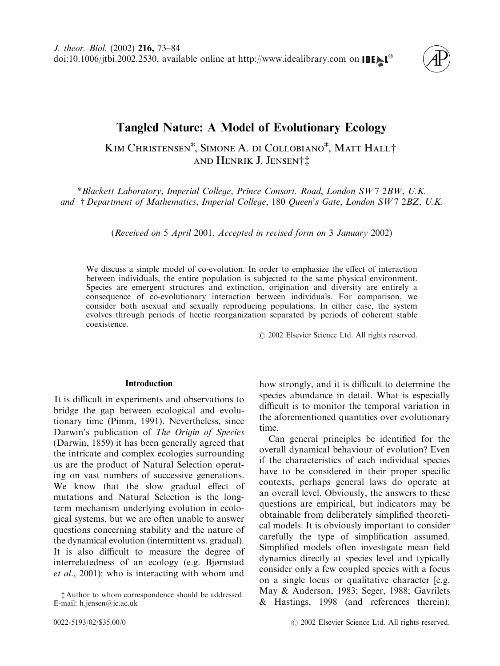

# Tangled Nature: A Model of Evolutionary Ecology

KIM CHRISTENSEN<sup>\*</sup>, SIMONE A. DI COLLOBIANO<sup>\*</sup>, MATT HALL<sup>†</sup> and Henrik J. Jensentt

\*Blackett Laboratory, Imperial College, Prince Consort. Road, London SW 7 2BW, U.K. and  $\dot{\tau}$  Department of Mathematics, Imperial College, 180 Queen's Gate, London SW 7 2BZ, U.K.

(Received on 5 April 2001, Accepted in revised form on 3 January 2002)

We discuss a simple model of co-evolution. In order to emphasize the effect of interaction between individuals, the entire population is subjected to the same physical environment. Species are emergent structures and extinction, origination and diversity are entirely a consequence of co-evolutionary interaction between individuals. For comparison, we consider both asexual and sexually reproducing populations. In either case, the system evolves through periods of hectic reorganization separated by periods of coherent stable coexistence.

 $O$  2002 Elsevier Science Ltd. All rights reserved.

## **Introduction**

It is difficult in experiments and observations to bridge the gap between ecological and evolu-tionary time [\(Pimm, 1991\)](#page-11-0). Nevertheless, since Darwin's publication of *The Origin of Species* [\(Darwin, 1859\)](#page-11-0) it has been generally agreed that the intricate and complex ecologies surrounding us are the product of Natural Selection operating on vast numbers of successive generations. We know that the slow gradual effect of mutations and Natural Selection is the longterm mechanism underlying evolution in ecological systems, but we are often unable to answer questions concerning stabilityand the nature of the dynamical evolution (intermittent vs. gradual). It is also difficult to measure the degree of interrelatedness of an ecology (e.g. Bjø[rnstad](#page-10-0) et al[., 2001\)](#page-10-0): who is interacting with whom and

how strongly, and it is difficult to determine the species abundance in detail. What is especially difficult is to monitor the temporal variation in the aforementioned quantities over evolutionary time.

Can general principles be identified for the overall dynamical behaviour of evolution? Even if the characteristics of each individual species have to be considered in their proper specific contexts, perhaps general laws do operate at an overall level. Obviously, the answers to these questions are empirical, but indicators maybe obtainable from deliberately simplified theoretical models. It is obviouslyimportant to consider carefully the type of simplification assumed. Simplified models often investigate mean field dynamics directly at species level and typically consider onlya few coupled species with a focus on a single locus or qualitative character [e.g. [May& Anderson, 1983; Seger, 1988; Gavrilets](#page-11-0)  $\frac{1}{2}$  Author to whom correspondence should be addressed. Way & Anderson, 1985; Seger, 1988; Gavriets mail: h.jensen@ic.ac.uk

E-mail: h.jensen@ic.ac.uk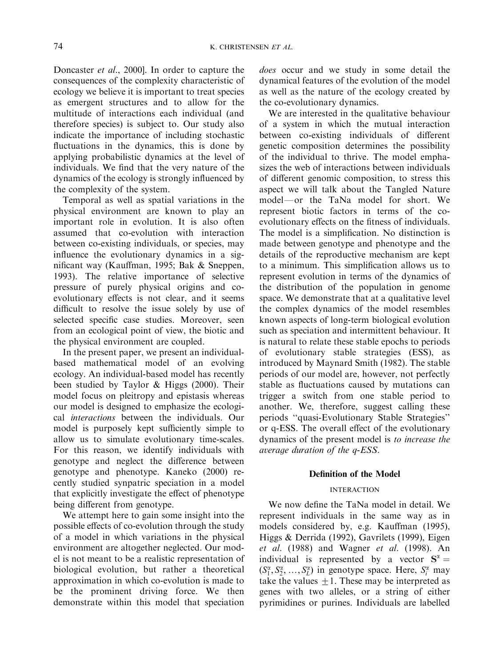[Doncaster](#page-11-0) et al., 2000]. In order to capture the consequences of the complexity characteristic of ecologywe believe it is important to treat species as emergent structures and to allow for the multitude of interactions each individual (and therefore species) is subject to. Our studyalso indicate the importance of including stochastic fluctuations in the dynamics, this is done by applying probabilistic dynamics at the level of individuals. We find that the very nature of the dynamics of the ecology is strongly influenced by the complexity of the system.

Temporal as well as spatial variations in the physical environment are known to play an important role in evolution. It is also often assumed that co-evolution with interaction between co-existing individuals, or species, may influence the evolutionary dynamics in a significant way[\(Kauffman, 1995;](#page-11-0) [Bak & Sneppen,](#page-10-0) [1993\)](#page-10-0). The relative importance of selective pressure of purely physical origins and coevolutionaryeffects is not clear, and it seems difficult to resolve the issue solely by use of selected specific case studies. Moreover, seen from an ecological point of view, the biotic and the physical environment are coupled.

In the present paper, we present an individualbased mathematical model of an evolving ecology. An individual-based model has recently been studied by Taylor  $&$  Higgs (2000). Their model focus on pleitropy and epistasis whereas our model is designed to emphasize the ecological interactions between the individuals. Our model is purposely kept sufficiently simple to allow us to simulate evolutionary time-scales. For this reason, we identify individuals with genotype and neglect the difference between genotype and phenotype. [Kaneko \(2000\)](#page-11-0) recently studied synpatric speciation in a model that explicitly investigate the effect of phenotype being different from genotype.

We attempt here to gain some insight into the possible effects of co-evolution through the study of a model in which variations in the physical environment are altogether neglected. Our model is not meant to be a realistic representation of biological evolution, but rather a theoretical approximation in which co-evolution is made to be the prominent driving force. We then demonstrate within this model that speciation

does occur and we study in some detail the dynamical features of the evolution of the model as well as the nature of the ecology created by the co-evolutionary dynamics.

We are interested in the qualitative behaviour of a system in which the mutual interaction between co-existing individuals of different genetic composition determines the possibility of the individual to thrive. The model emphasizes the web of interactions between individuals of different genomic composition, to stress this aspect we will talk about the Tangled Nature model—or the TaNa model for short. We represent biotic factors in terms of the coevolutionaryeffects on the fitness of individuals. The model is a simplification. No distinction is made between genotype and phenotype and the details of the reproductive mechanism are kept to a minimum. This simplification allows us to represent evolution in terms of the dynamics of the distribution of the population in genome space. We demonstrate that at a qualitative level the complex dynamics of the model resembles known aspects of long-term biological evolution such as speciation and intermittent behaviour. It is natural to relate these stable epochs to periods of evolutionary stable strategies (ESS), as introduced by [Maynard Smith \(1982\)](#page-11-0). The stable periods of our model are, however, not perfectly stable as fluctuations caused by mutations can trigger a switch from one stable period to another. We, therefore, suggest calling these periods "quasi-Evolutionary Stable Strategies" or q-ESS. The overall effect of the evolutionary dynamics of the present model is to increase the average duration of the q-ESS.

## Definition of the Model

### INTERACTION

We now define the TaNa model in detail. We represent individuals in the same way as in models considered by, e.g. [Kauffman \(1995\),](#page-11-0) [Higgs & Derrida \(1992\), Gavrilets \(1999\), Eigen](#page-11-0) et al[. \(1988\)](#page-11-0) and Wagner et al[. \(1998\)](#page-11-0). An individual is represented by a vector  $S^{\alpha} =$  $(S_1^{\alpha}, S_2^{\alpha}, \ldots, S_L^{\alpha})$  in genotype space. Here,  $S_i^{\alpha}$  may take the values  $\pm 1$ . These may be interpreted as genes with two alleles, or a string of either pyrimidines or purines. Individuals are labelled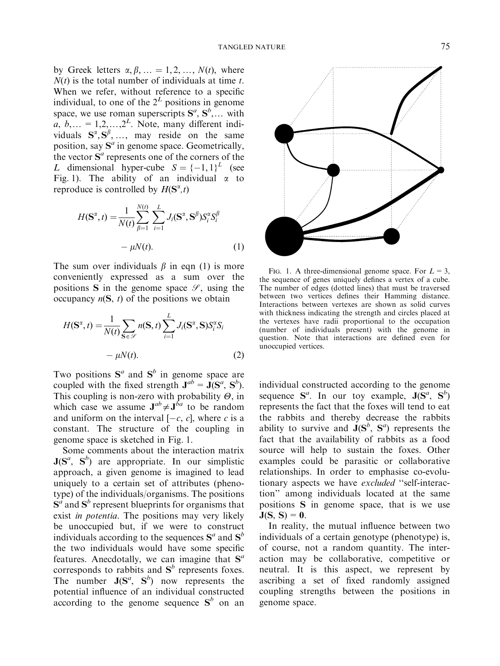<span id="page-2-0"></span>by Greek letters  $\alpha, \beta, \ldots = 1, 2, \ldots, N(t)$ , where  $N(t)$  is the total number of individuals at time t. When we refer, without reference to a specific individual, to one of the  $2^L$  positions in genome space, we use roman superscripts  $S^a$ ,  $S^b$ ,... with  $a, b, \ldots = 1, 2, \ldots, 2^L$ . Note, many different individuals  $S^{\alpha}, S^{\beta}, ...,$  may reside on the same position, say  $S^a$  in genome space. Geometrically, the vector  $S^a$  represents one of the corners of the *L* dimensional hyper-cube  $S = \{-1, 1\}^L$  (see Fig. 1). The ability of an individual  $\alpha$  to reproduce is controlled by  $H(\mathbf{S}^{\alpha},t)$ 

$$
H(\mathbf{S}^{\alpha}, t) = \frac{1}{N(t)} \sum_{\beta=1}^{N(t)} \sum_{i=1}^{L} J_i(\mathbf{S}^{\alpha}, \mathbf{S}^{\beta}) S_i^{\alpha} S_i^{\beta}
$$

$$
- \mu N(t). \tag{1}
$$

The sum over individuals  $\beta$  in eqn (1) is more conveniently expressed as a sum over the positions S in the genome space  $\mathscr{S}$ , using the occupancy  $n(S, t)$  of the positions we obtain

$$
H(\mathbf{S}^{\alpha}, t) = \frac{1}{N(t)} \sum_{\mathbf{S} \in \mathcal{S}} n(\mathbf{S}, t) \sum_{i=1}^{L} J_i(\mathbf{S}^{\alpha}, \mathbf{S}) S_i^{\alpha} S_i
$$

$$
- \mu N(t). \tag{2}
$$

Two positions  $S^a$  and  $S^b$  in genome space are coupled with the fixed strength  $\mathbf{J}^{ab} = \mathbf{J}(\mathbf{S}^a, \mathbf{S}^b)$ . This coupling is non-zero with probability  $\Theta$ , in which case we assume  $J^{ab} \neq J^{ba}$  to be random and uniform on the interval  $[-c, c]$ , where c is a constant. The structure of the coupling in genome space is sketched in Fig. 1.

Some comments about the interaction matrix  $J(S^a, S^b)$  are appropriate. In our simplistic approach, a given genome is imagined to lead uniquely to a certain set of attributes (phenotype) of the individuals/organisms. The positions  $S^a$  and  $S^b$  represent blueprints for organisms that exist *in potentia*. The positions may very likely be unoccupied but, if we were to construct individuals according to the sequences  $S^a$  and  $S^b$ the two individuals would have some specific features. Anecdotally, we can imagine that  $S^a$ corresponds to rabbits and  $S<sup>b</sup>$  represents foxes. The number  $J(S^a, S^b)$  now represents the potential influence of an individual constructed according to the genome sequence  $S^b$  on an



Fig. 1. A three-dimensional genome space. For  $L = 3$ , the sequence of genes uniquely defines a vertex of a cube. The number of edges (dotted lines) that must be traversed between two vertices defines their Hamming distance. Interactions between vertexes are shown as solid curves with thickness indicating the strength and circles placed at the vertexes have radii proportional to the occupation (number of individuals present) with the genome in question. Note that interactions are defined even for unoccupied vertices.

individual constructed according to the genome sequence  $S^a$ . In our toy example,  $J(S^a, S^b)$ represents the fact that the foxes will tend to eat the rabbits and thereby decrease the rabbits ability to survive and  $\mathbf{J}(\mathbf{S}^b, \mathbf{S}^a)$  represents the fact that the availability of rabbits as a food source will help to sustain the foxes. Other examples could be parasitic or collaborative relationships. In order to emphasise co-evolutionary aspects we have excluded "self-interaction'' among individuals located at the same positions S in genome space, that is we use  $J(S, S)=0.$ 

In reality, the mutual influence between two individuals of a certain genotype (phenotype) is, of course, not a random quantity. The interaction maybe collaborative, competitive or neutral. It is this aspect, we represent by ascribing a set of fixed randomly assigned coupling strengths between the positions in genome space.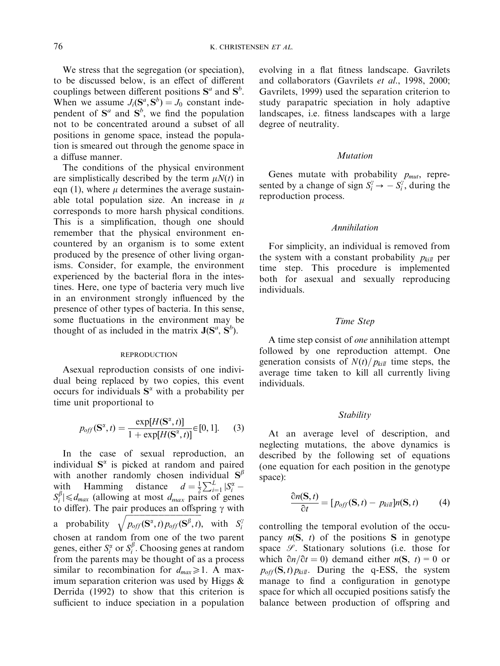<span id="page-3-0"></span>We stress that the segregation (or speciation), to be discussed below, is an effect of different couplings between different positions  $S^a$  and  $S^b$ . When we assume  $J_i(\mathbf{S}^a, \mathbf{S}^b) = J_0$  constant independent of  $S^a$  and  $S^b$ , we find the population not to be concentrated around a subset of all positions in genome space, instead the population is smeared out through the genome space in a diffuse manner.

The conditions of the physical environment are simplistically described by the term  $\mu N(t)$  in eqn  $(1)$ , where  $\mu$  determines the average sustainable total population size. An increase in  $\mu$ corresponds to more harsh physical conditions. This is a simplification, though one should remember that the physical environment encountered byan organism is to some extent produced by the presence of other living organisms. Consider, for example, the environment experienced by the bacterial flora in the intestines. Here, one type of bacteria very much live in an environment strongly influenced by the presence of other types of bacteria. In this sense, some fluctuations in the environment may be thought of as included in the matrix  $J(S^a, S^b)$ .

### **REPRODUCTION**

Asexual reproduction consists of one individual being replaced by two copies, this event occurs for individuals  $S^{\alpha}$  with a probability per time unit proportional to

$$
p_{off}(\mathbf{S}^{\alpha}, t) = \frac{\exp[H(\mathbf{S}^{\alpha}, t)]}{1 + \exp[H(\mathbf{S}^{\alpha}, t)]} \in [0, 1].
$$
 (3)

In the case of sexual reproduction, an individual  $S^{\alpha}$  is picked at random and paired with another randomly chosen individual  $S^{\beta}$ with Hamming distance  $d = \frac{1}{2}$  $\sum_{i=1}^{L} |S_i^{\alpha} S_i^{\beta}$   $|\le d_{max}$  (allowing at most  $d_{max}$  pairs of genes to differ). The pair produces an offspring  $\gamma$  with a probability  $\sqrt{p_{off}(\mathbf{S}^{\alpha}, t)p_{off}(\mathbf{S}^{\beta}, t)}$ , with  $S_i^{\gamma}$  $\frac{1}{\sqrt{2\pi}}$ chosen at random from one of the two parent genes, either  $S_i^{\alpha}$  or  $S_i^{\beta}$ . Choosing genes at random from the parents may be thought of as a process similar to recombination for  $d_{max} \geq 1$ . A maximum separation criterion was used by Higgs  $\&$ [Derrida \(1992\)](#page-11-0) to show that this criterion is sufficient to induce speciation in a population evolving in a flat fitness landscape. Gavrilets and collaborators ([Gavrilets](#page-11-0) et al., 1998, [2000;](#page-11-0) [Gavrilets, 1999\)](#page-11-0) used the separation criterion to study parapatric speciation in holy adaptive landscapes, i.e. fitness landscapes with a large degree of neutrality.

## Mutation

Genes mutate with probability  $p_{mut}$ , represented by a change of sign  $S_i^{\gamma} \rightarrow -S_i^{\gamma}$ , during the reproduction process.

## Annihilation

For simplicity, an individual is removed from the system with a constant probability  $p_{kil}$  per time step. This procedure is implemented both for asexual and sexually reproducing individuals.

## Time Step

A time step consist of one annihilation attempt followed by one reproduction attempt. One generation consists of  $N(t)/p_{kil}$  time steps, the average time taken to kill all currently living individuals.

## **Stability**

At an average level of description, and neglecting mutations, the above dynamics is described by the following set of equations (one equation for each position in the genotype space):

$$
\frac{\partial n(\mathbf{S},t)}{\partial t} = [p_{off}(\mathbf{S},t) - p_{kill}]n(\mathbf{S},t)
$$
(4)

controlling the temporal evolution of the occupancy  $n(S, t)$  of the positions S in genotype space  $\mathscr{S}$ . Stationary solutions (i.e. those for which  $\partial n/\partial t=0$ ) demand either  $n(S, t)=0$  or  $p_{off}(S, t) p_{kill}$ . During the q-ESS, the system manage to find a configuration in genotype space for which all occupied positions satisfy the balance between production of offspring and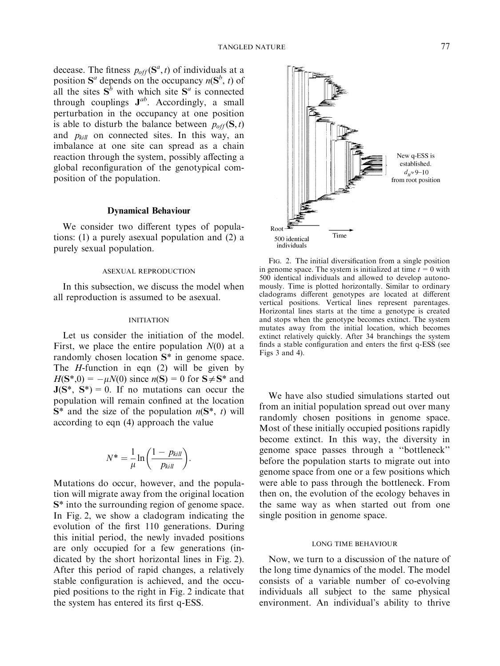decease. The fitness  $p_{off}(\mathbf{S}^a, t)$  of individuals at a position  $S^a$  depends on the occupancy  $n(S^b, t)$  of all the sites  $S^b$  with which site  $S^a$  is connected through couplings  $J^{ab}$ . Accordingly, a small perturbation in the occupancyat one position is able to disturb the balance between  $p_{off}(S, t)$ and *pkill* on connected sites. In this way, an imbalance at one site can spread as a chain reaction through the system, possibly affecting a global reconfiguration of the genotypical composition of the population.

#### Dynamical Behaviour

We consider two different types of populations:  $(1)$  a purely as exual population and  $(2)$  a purely sexual population.

#### ASEXUAL REPRODUCTION

In this subsection, we discuss the model when all reproduction is assumed to be asexual.

#### INITIATION

Let us consider the initiation of the model. First, we place the entire population  $N(0)$  at a randomly chosen location  $S^*$  in genome space. The  $H$ -function in [eqn \(2\)](#page-2-0) will be given by  $H(S^*,0) = -\mu N(0)$  since  $n(S) = 0$  for  $S \neq S^*$  and  $J(S^*, S^*) = 0$ . If no mutations can occur the population will remain confined at the location  $S^*$  and the size of the population  $n(S^*, t)$  will according to [eqn \(4\)](#page-3-0) approach the value

$$
N^* = \frac{1}{\mu} \ln \left( \frac{1 - p_{kill}}{p_{kill}} \right).
$$

Mutations do occur, however, and the population will migrate away from the original location S\* into the surrounding region of genome space. In Fig. 2, we show a cladogram indicating the evolution of the first 110 generations. During this initial period, the newly invaded positions are only occupied for a few generations (indicated by the short horizontal lines in Fig. 2). After this period of rapid changes, a relatively stable configuration is achieved, and the occupied positions to the right in Fig. 2 indicate that the system has entered its first q-ESS.



Fig. 2. The initial diversification from a single position in genome space. The system is initialized at time  $t = 0$  with 500 identical individuals and allowed to develop autonomously. Time is plotted horizontally. Similar to ordinary cladograms different genotypes are located at different vertical positions. Vertical lines represent parentages. Horizontal lines starts at the time a genotype is created and stops when the genotype becomes extinct. The system mutates away from the initial location, which becomes extinct relatively quickly. After 34 branchings the system finds a stable configuration and enters the first q-ESS (see [Figs 3](#page-5-0) an[d 4\)](#page-5-0).

We have also studied simulations started out from an initial population spread out over many randomly chosen positions in genome space. Most of these initially occupied positions rapidly become extinct. In this way, the diversity in genome space passes through a ''bottleneck'' before the population starts to migrate out into genome space from one or a few positions which were able to pass through the bottleneck. From then on, the evolution of the ecologybehaves in the same way as when started out from one single position in genome space.

#### LONG TIME BEHAVIOUR

Now, we turn to a discussion of the nature of the long time dynamics of the model. The model consists of a variable number of co-evolving individuals all subject to the same physical environment. An individual's ability to thrive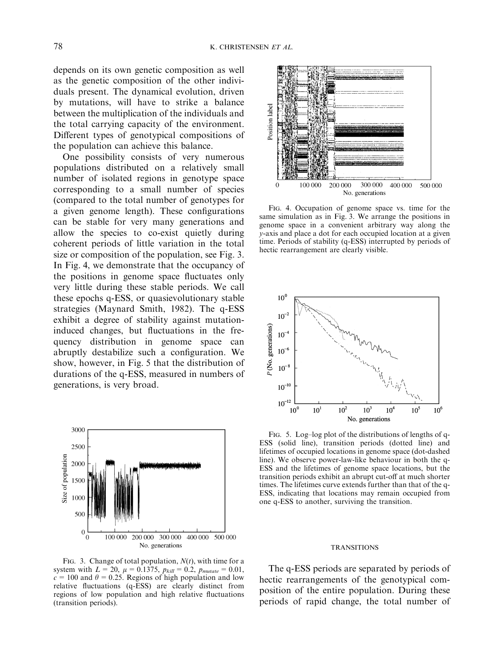<span id="page-5-0"></span>depends on its own genetic composition as well as the genetic composition of the other individuals present. The dynamical evolution, driven by mutations, will have to strike a balance between the multiplication of the individuals and the total carrying capacity of the environment. Different types of genotypical compositions of the population can achieve this balance.

One possibility consists of very numerous populations distributed on a relatively small number of isolated regions in genotype space corresponding to a small number of species (compared to the total number of genotypes for a given genome length). These configurations can be stable for verymanygenerations and allow the species to co-exist quietly during coherent periods of little variation in the total size or composition of the population, see Fig. 3. In Fig. 4, we demonstrate that the occupancy of the positions in genome space fluctuates only verylittle during these stable periods. We call these epochs q-ESS, or quasievolutionary stable strategies [\(Maynard Smith, 1982\)](#page-11-0). The q-ESS exhibit a degree of stability against mutationinduced changes, but fluctuations in the frequency distribution in genome space can abruptly destabilize such a configuration. We show, however, in Fig. 5 that the distribution of durations of the q-ESS, measured in numbers of generations, is very broad.



FIG. 3. Change of total population,  $N(t)$ , with time for a system with  $L = 20$ ,  $\mu = 0.1375$ ,  $p_{kill} = 0.2$ ,  $p_{mutate} = 0.01$ ,  $c = 100$  and  $\theta = 0.25$ . Regions of high population and low relative fluctuations (q-ESS) are clearly distinct from regions of low population and high relative fluctuations (transition periods).



Fig. 4. Occupation of genome space vs. time for the same simulation as in Fig. 3. We arrange the positions in genome space in a convenient arbitrary way along the y-axis and place a dot for each occupied location at a given time. Periods of stability (q-ESS) interrupted by periods of hectic rearrangement are clearly visible.



Fig. 5. Log–log plot of the distributions of lengths of q-ESS (solid line), transition periods (dotted line) and lifetimes of occupied locations in genome space (dot-dashed line). We observe power-law-like behaviour in both the q-ESS and the lifetimes of genome space locations, but the transition periods exhibit an abrupt cut-off at much shorter times. The lifetimes curve extends further than that of the q-ESS, indicating that locations mayremain occupied from one q-ESS to another, surviving the transition.

#### TRANSITIONS

The q-ESS periods are separated by periods of hectic rearrangements of the genotypical composition of the entire population. During these periods of rapid change, the total number of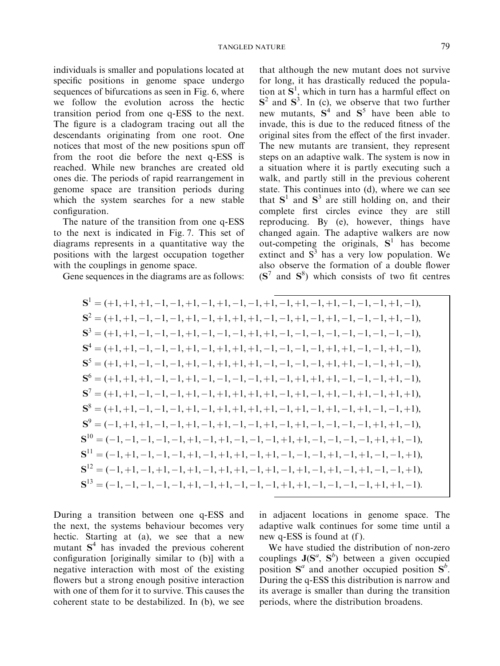individuals is smaller and populations located at specific positions in genome space undergo sequences of bifurcations as seen in [Fig. 6,](#page-7-0) where we follow the evolution across the hectic transition period from one q-ESS to the next. The figure is a cladogram tracing out all the descendants originating from one root. One notices that most of the new positions spun off from the root die before the next q-ESS is reached. While new branches are created old ones die. The periods of rapid rearrangement in genome space are transition periods during which the system searches for a new stable configuration.

The nature of the transition from one q-ESS to the next is indicated in [Fig. 7.](#page-8-0) This set of diagrams represents in a quantitative way the positions with the largest occupation together with the couplings in genome space.

Gene sequences in the diagrams are as follows:

that although the new mutant does not survive for long, it has drastically reduced the population at  $S^1$ , which in turn has a harmful effect on  $S<sup>2</sup>$  and  $S<sup>3</sup>$ . In (c), we observe that two further new mutants,  $S^4$  and  $S^5$  have been able to invade, this is due to the reduced fitness of the original sites from the effect of the first invader. The new mutants are transient, they represent steps on an adaptive walk. The system is now in a situation where it is partly executing such a walk, and partly still in the previous coherent state. This continues into (d), where we can see that  $S<sup>1</sup>$  and  $S<sup>3</sup>$  are still holding on, and their complete first circles evince they are still reproducing. By (e), however, things have changed again. The adaptive walkers are now out-competing the originals,  $S<sup>1</sup>$  has become extinct and  $S<sup>3</sup>$  has a very low population. We also observe the formation of a double flower  $(S<sup>7</sup>$  and  $S<sup>8</sup>)$  which consists of two fit centres

S<sup>1</sup> ¼ ðþ1; þ1; þ1; 1; 1; þ1; 1; þ1; 1; 1; þ1; 1; þ1; 1; þ1; 1; 1; 1; þ1; 1Þ; S<sup>2</sup> ¼ ðþ1; þ1; 1; 1; 1; þ1; 1; þ1; þ1; þ1; 1; 1; þ1; 1; þ1; 1; 1; 1; þ1; 1Þ; S<sup>3</sup> ¼ ðþ1; þ1; 1; 1; 1; þ1; 1; 1; 1; þ1; þ1; 1; 1; 1; 1; 1; 1; 1; 1; 1Þ; S<sup>4</sup> ¼ ðþ1; þ1; 1; 1; 1; þ1; 1; þ1; þ1; þ1; 1; 1; 1; 1; þ1; þ1; 1; 1; þ1; 1Þ; S<sup>5</sup> ¼ ðþ1; þ1; 1; 1; 1; þ1; 1; þ1; þ1; þ1; 1; 1; 1; 1; þ1; þ1; 1; 1; þ1; 1Þ; S<sup>6</sup> ¼ ðþ1; þ1; þ1; 1; 1; þ1; 1; 1; 1; 1; þ1; 1; þ1; þ1; þ1; 1; 1; 1; þ1; 1Þ; S<sup>7</sup> ¼ ðþ1; þ1; 1; 1; 1; þ1; 1; þ1; þ1; þ1; þ1; 1; þ1; 1; þ1; 1; þ1; 1; þ1; þ1Þ; S<sup>8</sup> ¼ ðþ1; þ1; 1; 1; 1; þ1; 1; þ1; þ1; þ1; þ1; 1; þ1; 1; þ1; 1; þ1; 1; 1; þ1Þ; S<sup>9</sup> ¼ ð1; þ1; þ1; 1; 1; þ1; 1; þ1; 1; 1; þ1; 1; þ1; 1; 1; 1; 1; þ1; þ1; 1Þ; S<sup>10</sup> ¼ ð1; 1; 1; 1; 1; þ1; 1; þ1; 1; 1; 1; þ1; þ1; 1; 1; 1; 1; þ1; þ1; 1Þ; S<sup>11</sup> ¼ ð1; þ1; 1; 1; 1; þ1; 1; þ1; þ1; 1; þ1; 1; 1; 1; þ1; 1; þ1; 1; 1; þ1Þ; S<sup>12</sup> ¼ ð1; þ1; 1; þ1; 1; þ1; 1; þ1; þ1; 1; þ1; 1; þ1; 1; þ1; 1; þ1; 1; 1; þ1Þ; S<sup>13</sup> ¼ ð1; 1; 1; 1; 1; þ1; 1; þ1; 1; 1; 1; þ1; þ1; 1; 1; 1; 1; þ1; þ1; 1Þ:

During a transition between one q-ESS and the next, the systems behaviour becomes very hectic. Starting at (a), we see that a new mutant  $S<sup>4</sup>$  has invaded the previous coherent configuration [originally similar to (b)] with a negative interaction with most of the existing flowers but a strong enough positive interaction with one of them for it to survive. This causes the coherent state to be destabilized. In (b), we see in adjacent locations in genome space. The adaptive walk continues for some time until a new q-ESS is found at (f ).

We have studied the distribution of non-zero couplings  $J(S^a, S^b)$  between a given occupied position  $S^a$  and another occupied position  $S^b$ . During the q-ESS this distribution is narrow and its average is smaller than during the transition periods, where the distribution broadens.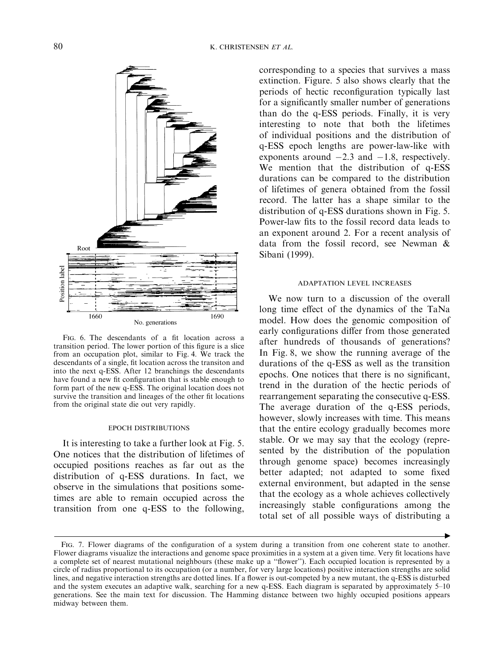<span id="page-7-0"></span>

Fig. 6. The descendants of a fit location across a transition period. The lower portion of this figure is a slice from an occupation plot, similar to [Fig. 4.](#page-5-0) We track the descendants of a single, fit location across the transiton and into the next q-ESS. After 12 branchings the descendants have found a new fit configuration that is stable enough to form part of the new q-ESS. The original location does not survive the transition and lineages of the other fit locations from the original state die out very rapidly.

#### EPOCH DISTRIBUTIONS

It is interesting to take a further look at [Fig. 5.](#page-5-0) One notices that the distribution of lifetimes of occupied positions reaches as far out as the distribution of q-ESS durations. In fact, we observe in the simulations that positions sometimes are able to remain occupied across the transition from one q-ESS to the following,

corresponding to a species that survives a mass extinction. [Figure. 5](#page-5-0) also shows clearly that the periods of hectic reconfiguration typically last for a significantly smaller number of generations than do the q-ESS periods. Finally, it is very interesting to note that both the lifetimes of individual positions and the distribution of q-ESS epoch lengths are power-law-like with exponents around  $-2.3$  and  $-1.8$ , respectively. We mention that the distribution of q-ESS durations can be compared to the distribution of lifetimes of genera obtained from the fossil record. The latter has a shape similar to the distribution of q-ESS durations shown in [Fig. 5.](#page-5-0) Power-law fits to the fossil record data leads to an exponent around 2. For a recent analysis of data from the fossil record, see [Newman &](#page-11-0) [Sibani \(1999\)](#page-11-0).

## ADAPTATION LEVEL INCREASES

We now turn to a discussion of the overall long time effect of the dynamics of the TaNa model. How does the genomic composition of early configurations differ from those generated after hundreds of thousands of generations? In [Fig. 8,](#page-9-0) we show the running average of the durations of the q-ESS as well as the transition epochs. One notices that there is no significant, trend in the duration of the hectic periods of rearrangement separating the consecutive q-ESS. The average duration of the q-ESS periods, however, slowly increases with time. This means that the entire ecology gradually becomes more stable. Or we may say that the ecology (represented by the distribution of the population through genome space) becomes increasingly better adapted; not adapted to some fixed external environment, but adapted in the sense that the ecologyas a whole achieves collectively increasingly stable configurations among the total set of all possible ways of distributing a

 $\blacktriangleright$ 

Fig. 7. Flower diagrams of the configuration of a system during a transition from one coherent state to another. Flower diagrams visualize the interactions and genome space proximities in a system at a given time. Very fit locations have a complete set of nearest mutational neighbours (these make up a ''flower''). Each occupied location is represented bya circle of radius proportional to its occupation (or a number, for verylarge locations) positive interaction strengths are solid lines, and negative interaction strengths are dotted lines. If a flower is out-competed bya new mutant, the q-ESS is disturbed and the system executes an adaptive walk, searching for a new q-ESS. Each diagram is separated by approximately 5–10 generations. See the main text for discussion. The Hamming distance between two highly occupied positions appears midway between them.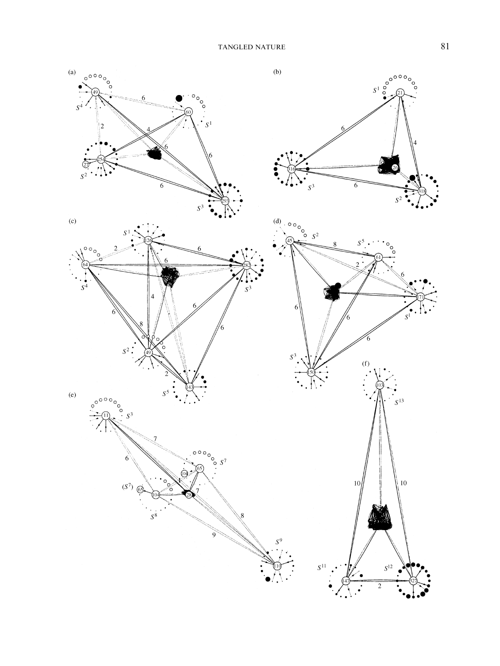<span id="page-8-0"></span>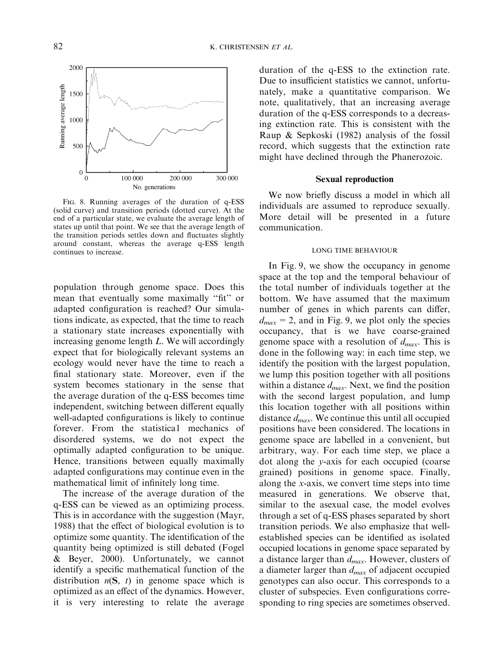<span id="page-9-0"></span>

Fig. 8. Running averages of the duration of q-ESS (solid curve) and transition periods (dotted curve). At the end of a particular state, we evaluate the average length of states up until that point. We see that the average length of the transition periods settles down and fluctuates slightly around constant, whereas the average q-ESS length continues to increase.

population through genome space. Does this mean that eventually some maximally "fit" or adapted configuration is reached? Our simulations indicate, as expected, that the time to reach a stationary state increases exponentially with increasing genome length L. We will accordingly expect that for biologically relevant systems an ecologywould never have the time to reach a final stationary state. Moreover, even if the system becomes stationary in the sense that the average duration of the q-ESS becomes time independent, switching between different equally well-adapted configurations is likely to continue forever. From the statistica1 mechanics of disordered systems, we do not expect the optimally adapted configuration to be unique. Hence, transitions between equally maximally adapted configurations maycontinue even in the mathematical limit of infinitely long time.

The increase of the average duration of the q-ESS can be viewed as an optimizing process. This is in accordance with the suggestion [\(Mayr,](#page-11-0) [1988\)](#page-11-0) that the effect of biological evolution is to optimize some quantity. The identification of the quantitybeing optimized is still debated ([Fogel](#page-11-0) [& Beyer, 2000\)](#page-11-0). Unfortunately, we cannot identifya specific mathematical function of the distribution  $n(S, t)$  in genome space which is optimized as an effect of the dynamics. However, it is very interesting to relate the average

duration of the q-ESS to the extinction rate. Due to insufficient statistics we cannot, unfortunately, make a quantitative comparison. We note, qualitatively, that an increasing average duration of the q-ESS corresponds to a decreasing extinction rate. This is consistent with the [Raup & Sepkoski \(1982\)](#page-11-0) analysis of the fossil record, which suggests that the extinction rate might have declined through the Phanerozoic.

## Sexual reproduction

We now briefly discuss a model in which all individuals are assumed to reproduce sexually. More detail will be presented in a future communication.

### LONG TIME BEHAVIOUR

In [Fig. 9,](#page-10-0) we show the occupancy in genome space at the top and the temporal behaviour of the total number of individuals together at the bottom. We have assumed that the maximum number of genes in which parents can differ,  $d_{max} = 2$ , and in [Fig. 9,](#page-10-0) we plot only the species occupancy, that is we have coarse-grained genome space with a resolution of  $d_{max}$ . This is done in the following way: in each time step, we identify the position with the largest population, we lump this position together with all positions within a distance  $d_{max}$ . Next, we find the position with the second largest population, and lump this location together with all positions within distance  $d_{max}$ . We continue this until all occupied positions have been considered. The locations in genome space are labelled in a convenient, but arbitrary, way. For each time step, we place a dot along the y-axis for each occupied (coarse grained) positions in genome space. Finally, along the x-axis, we convert time steps into time measured in generations. We observe that, similar to the asexual case, the model evolves through a set of q-ESS phases separated byshort transition periods. We also emphasize that wellestablished species can be identified as isolated occupied locations in genome space separated by a distance larger than  $d_{max}$ . However, clusters of a diameter larger than  $d_{max}$  of adjacent occupied genotypes can also occur. This corresponds to a cluster of subspecies. Even configurations corresponding to ring species are sometimes observed.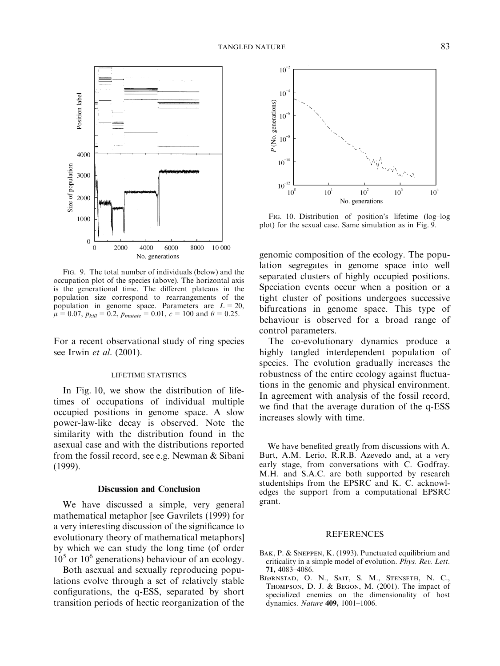<span id="page-10-0"></span>

Fig. 9. The total number of individuals (below) and the occupation plot of the species (above). The horizontal axis is the generational time. The different plateaus in the population size correspond to rearrangements of the population in genome space. Parameters are  $L = 20$ ,  $\mu = 0.07$ ,  $p_{kill} = 0.2$ ,  $p_{mutate} = 0.01$ ,  $c = 100$  and  $\theta = 0.25$ .

For a recent observational study of ring species see Irwin et al[. \(2001\).](#page-11-0)

#### LIFETIME STATISTICS

In Fig. 10, we show the distribution of lifetimes of occupations of individual multiple occupied positions in genome space. A slow power-law-like decay is observed. Note the similarity with the distribution found in the asexual case and with the distributions reported from the fossil record, see e.g. [Newman & Sibani](#page-11-0) [\(1999\)](#page-11-0).

### Discussion and Conclusion

We have discussed a simple, very general mathematical metaphor [see [Gavrilets \(1999\)](#page-11-0) for a veryinteresting discussion of the significance to evolutionary theory of mathematical metaphors] by which we can study the long time (of order  $10<sup>5</sup>$  or  $10<sup>6</sup>$  generations) behaviour of an ecology.

Both asexual and sexually reproducing populations evolve through a set of relatively stable configurations, the q-ESS, separated by short transition periods of hectic reorganization of the



Fig. 10. Distribution of position's lifetime (log–log plot) for the sexual case. Same simulation as in Fig. 9.

genomic composition of the ecology. The population segregates in genome space into well separated clusters of highly occupied positions. Speciation events occur when a position or a tight cluster of positions undergoes successive bifurcations in genome space. This type of behaviour is observed for a broad range of control parameters.

The co-evolutionary dynamics produce a highly tangled interdependent population of species. The evolution gradually increases the robustness of the entire ecologyagainst fluctuations in the genomic and physical environment. In agreement with analysis of the fossil record, we find that the average duration of the q-ESS increases slowly with time.

We have benefited greatly from discussions with A. Burt, A.M. Lerio, R.R.B. Azevedo and, at a very early stage, from conversations with C. Godfray. M.H. and S.A.C. are both supported by research studentships from the EPSRC and K. C. acknowledges the support from a computational EPSRC grant.

#### REFERENCES

- BAK, P. & SNEPPEN, K. (1993). Punctuated equilibrium and criticality in a simple model of evolution. *Phys. Rev. Lett.* 71, 4083–4086.
- BJØRNSTAD, O. N., SAIT, S. M., STENSETH, N. C., Thompson, D. J. & Begon, M. (2001). The impact of specialized enemies on the dimensionality of host dynamics. Nature 409, 1001–1006.